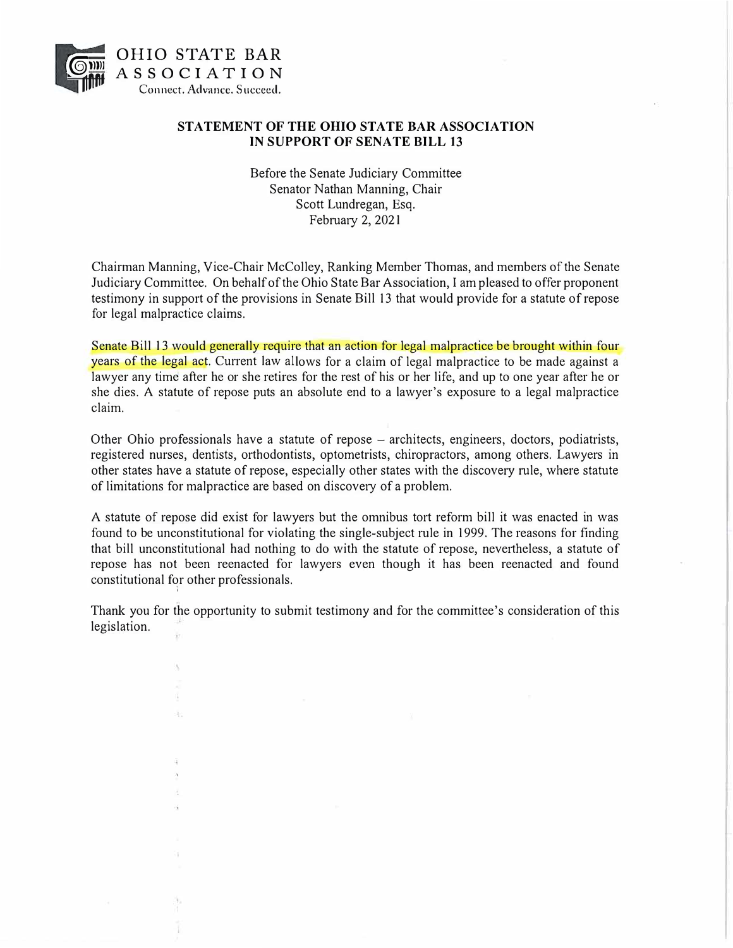

å.

### **STATEMENT OF THE OHIO STATE BAR ASSOCIATION IN SUPPORT OF SENATE BILL 13**

Before the Senate Judiciary Committee Senator Nathan Manning, Chair Scott Lundregan, Esq. February 2, 2021

Chairman Manning, Vice-Chair McColley, Ranking Member Thomas, and members of the Senate Judiciary Committee. On behalf of the Ohio State Bar Association, I am pleased to offer proponent testimony in support of the provisions in Senate Bill 13 that would provide for a statute of repose for legal malpractice claims.

Senate Bill 13 would generally require that an action for legal malpractice be brought within four years of the legal act. Current law allows for a claim of legal malpractice to be made against a lawyer any time after he or she retires for the rest of his or her life, and up to one year after he or she dies. A statute of repose puts an absolute end to a lawyer's exposure to a legal malpractice claim.

Other Ohio professionals have a statute of repose – architects, engineers, doctors, podiatrists, registered nurses, dentists, orthodontists, optometrists, chiropractors, among others. Lawyers in other states have a statute of repose, especially other states with the discovery rule, where statute of limitations for malpractice are based on discovery of a problem.

A statute of repose did exist for lawyers but the omnibus tort reform bill it was enacted in was found to be unconstitutional for violating the single-subject rule in 1999. The reasons for finding that bill unconstitutional had nothing to do with the statute of repose, nevertheless, a statute of repose has not been reenacted for lawyers even though it has been reenacted and found constitutional for other professionals. *i* 

Thank you for the opportunity to submit testimony and for the committee's consideration of this legislation.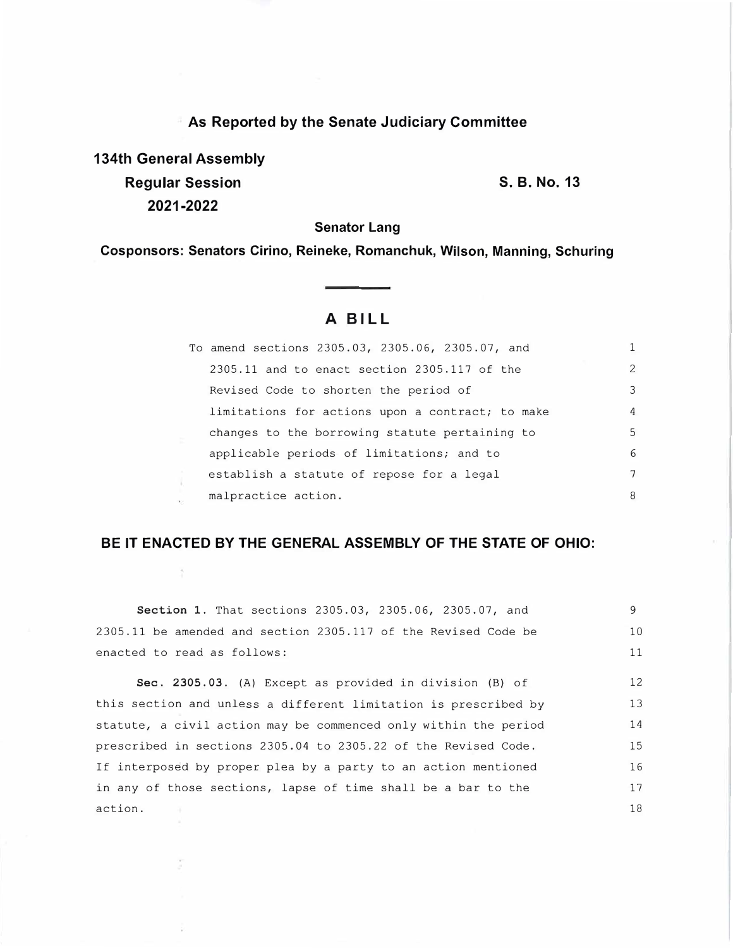**As Reported by the Senate Judiciary Committee 134th General Assembly** 

**Regular Session 2021-2022** 

**S. B. No. 13** 

**Senator Lang** 

**Cosponsors: Senators Cirino, Reineke, Romanchuk, Wilson, Manning, Schuring** 

# A BILL

| To amend sections 2305.03, 2305.06, 2305.07, and |    |
|--------------------------------------------------|----|
| 2305.11 and to enact section 2305.117 of the     | 2  |
| Revised Code to shorten the period of            | 3  |
| limitations for actions upon a contract; to make | 4  |
| changes to the borrowing statute pertaining to   | .5 |
| applicable periods of limitations; and to        | 6  |
| establish a statute of repose for a legal        | 7  |
| malpractice action.                              | 8  |

## **BE IT ENACTED BY THE GENERAL ASSEMBLY OF THE STATE OF OHIO:**

**Section 1.** That sections 2305.03, 2305.06, 2305.07, and 2305.11 be amended and section 2305.117 of the Revised Code be enacted to read as follows: Sec. 2305.03. (A) Except as provided in division (B) of this section and unless a different limitation is prescribed by statute, a civil action may be commenced only within the period prescribed in sections 2305.04 to 2305.22 of the Revised Code. If interposed by proper plea by a party to an action mentioned in any of those sections, lapse of time shall be a bar to the action. 9 10 11 12 13 14 15 16 17 18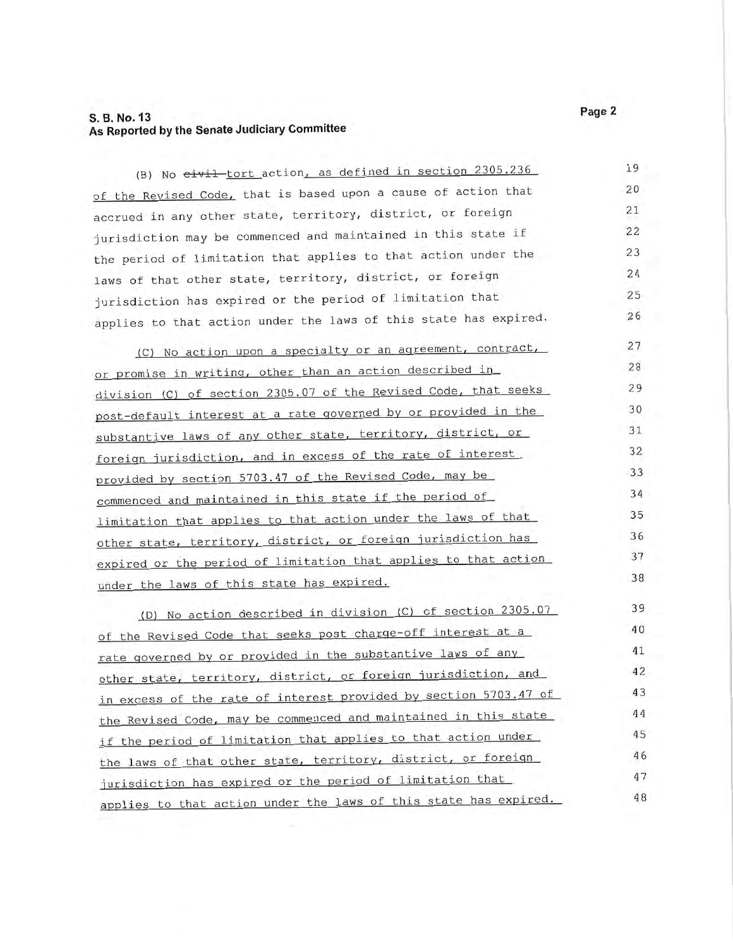(B) No eivil tort action, as defined in section 2305.236 19 of the Revised Code, that is based upon a cause of action that 20 accrued in any other state, territory, district, or foreign 21 jurisdiction may be commenced and maintained in this state if 22 the period of limitation that applies to that action under the 23 24 laws of that other state, territory, district, or foreign jurisdiction has expired or the period of limitation that 25 applies to that action under the laws of this state has expired. 26

27 (C) No action upon a specialty or an agreement, contract, or promise in writing, other than an action described in 28 29 division (C) of section 2305.07 of the Revised Code, that seeks post-default interest at a rate governed by or provided in the 30 substantive laws of any other state, territory, district, or 31 foreign jurisdiction, and in excess of the rate of interest 32 provided by section 5703.47 of the Revised Code, may be 33 34 commenced and maintained in this state if the period of limitation that applies to that action under the laws of that 35 other state, territory, district, or foreign jurisdiction has 36 expired or the period of limitation that applies to that action 37 38 under the laws of this state has expired.

(D) No action described in division (C) of section 2305.07 39 40 of the Revised Code that seeks post charge-off interest at a rate governed by or provided in the substantive laws of any 41 other state, territory, district, or foreign jurisdiction, and 42 in excess of the rate of interest provided by section 5703.47 of 43 the Revised Code, may be commenced and maintained in this state 44 if the period of limitation that applies to that action under 45 46 the laws of that other state, territory, district, or foreign 47 jurisdiction has expired or the period of limitation that applies to that action under the laws of this state has expired. 48

Page 2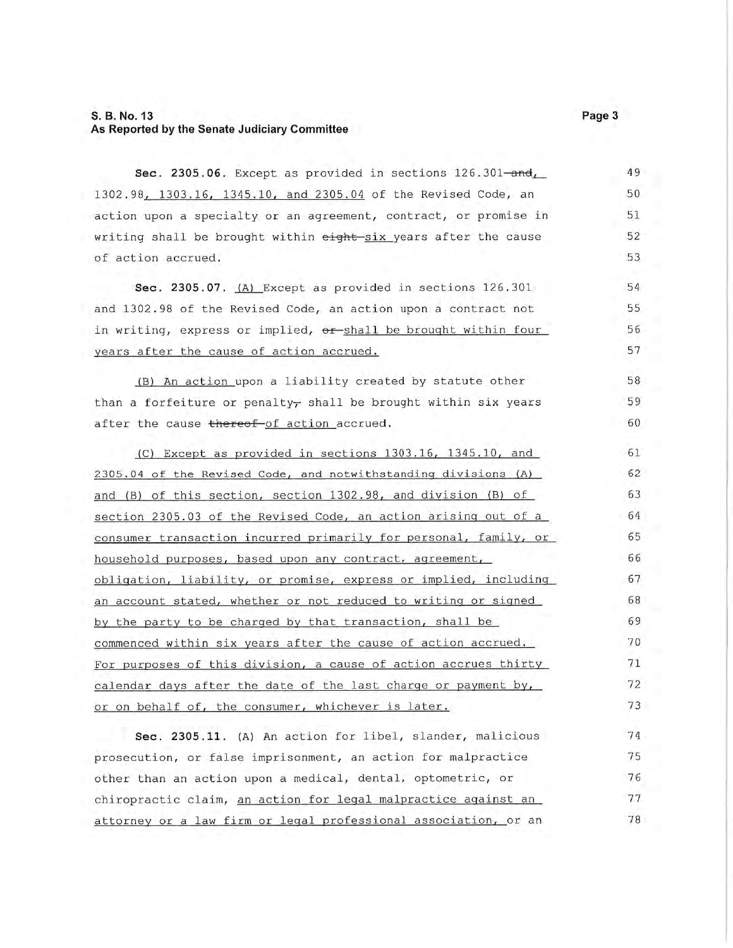49 Sec. 2305.06. Except as provided in sections 126.301-and, 1302.98, 1303.16, 1345.10, and 2305.04 of the Revised Code, an 50 action upon a specialty or an agreement, contract, or promise in 51 52 writing shall be brought within eight-six years after the cause of action accrued. 53 54 Sec. 2305.07.  $(A)$  Except as provided in sections 126.301 and 1302.98 of the Revised Code, an action upon a contract not 55 in writing, express or implied, or shall be brought within four 56 years after the cause of action accrued. 57 (B) An action upon a liability created by statute other 58 than a forfeiture or penalty<sub> $\tau$ </sub> shall be brought within six years 59 60 after the cause thereof of action accrued. (C) Except as provided in sections 1303.16, 1345.10, and 61 2305.04 of the Revised Code, and notwithstanding divisions (A) 62 63 and (B) of this section, section 1302.98, and division (B) of section 2305.03 of the Revised Code, an action arising out of a 64 consumer transaction incurred primarily for personal, family, or 65 household purposes, based upon any contract, agreement, 66 obligation, liability, or promise, express or implied, including 67 an account stated, whether or not reduced to writing or signed 68 by the party to be charged by that transaction, shall be 69 commenced within six years after the cause of action accrued. 70 For purposes of this division, a cause of action accrues thirty 71 72 calendar days after the date of the last charge or payment by, or on behalf of, the consumer, whichever is later. 73 Sec. 2305.11. (A) An action for libel, slander, malicious 74 75 prosecution, or false imprisonment, an action for malpractice other than an action upon a medical, dental, optometric, or 76 77 chiropractic claim, an action for legal malpractice against an 78 attorney or a law firm or legal professional association, or an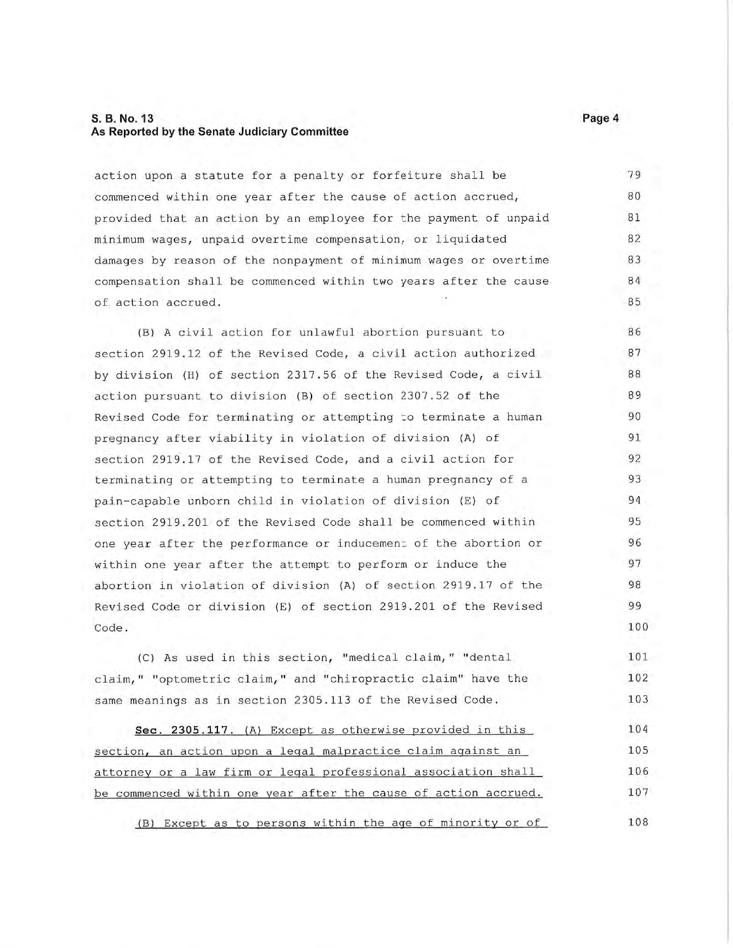action upon a statute for a penalty or forfeiture shall be 79 commenced within one year after the cause of action accrued, 80 81 provided that an action by an employee for the payment of unpaid 82 minimum wages, unpaid overtime compensation, or liquidated damages by reason of the nonpayment of minimum wages or overtime 83 compensation shall be commenced within two years after the cause 84 of action accrued. 85

(B) A civil action for unlawful abortion pursuant to 86 section 2919.12 of the Revised Code, a civil action authorized 87 by division (H) of section 2317.56 of the Revised Code, a civil 88 action pursuant to division (B) of section 2307.52 of the 89 Revised Code for terminating or attempting to terminate a human 90 91 pregnancy after viability in violation of division (A) of section 2919.17 of the Revised Code, and a civil action for 92 terminating or attempting to terminate a human pregnancy of a 93 94 pain-capable unborn child in violation of division (E) of section 2919.201 of the Revised Code shall be commenced within 95 one year after the performance or inducement of the abortion or 96 within one year after the attempt to perform or induce the 97 abortion in violation of division (A) of section 2919.17 of the 98 99 Revised Code or division (E) of section 2919.201 of the Revised 100 Code.

(C) As used in this section, "medical claim," "dental 101 102 claim, " "optometric claim, " and "chiropractic claim" have the same meanings as in section 2305.113 of the Revised Code. 103

104 Sec. 2305.117. (A) Except as otherwise provided in this 105 section, an action upon a legal malpractice claim against an attorney or a law firm or legal professional association shall 106 107 be commenced within one year after the cause of action accrued.

108 (B) Except as to persons within the age of minority or of

Page 4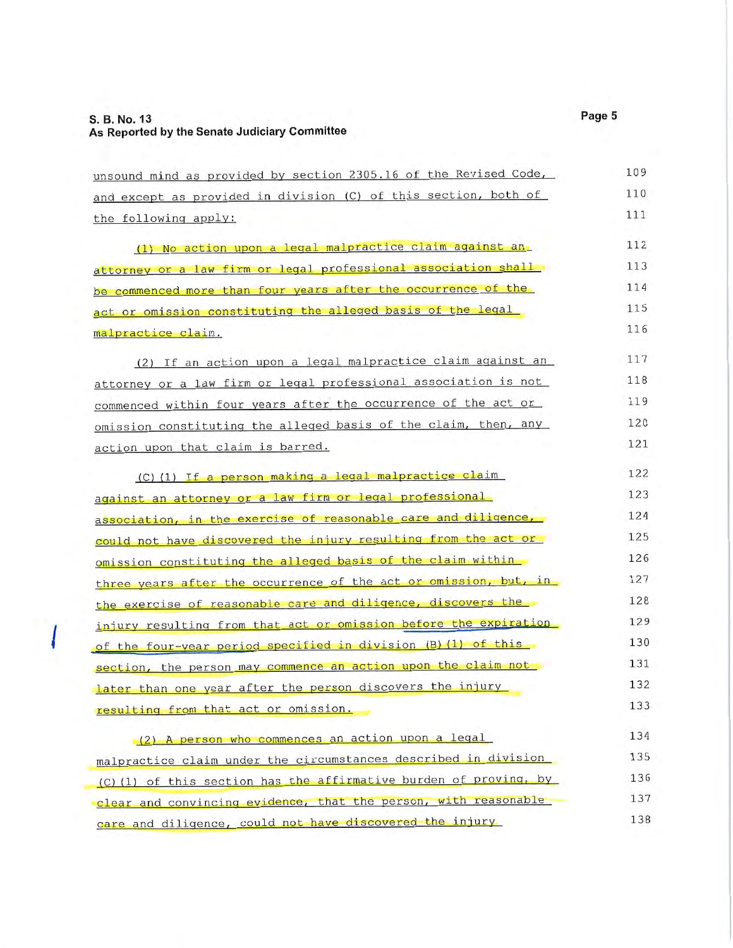| unsound mind as provided by section 2305.16 of the Revised Code,  | 109 |
|-------------------------------------------------------------------|-----|
| and except as provided in division (C) of this section, both of   | 110 |
| the following apply:                                              | 111 |
| (1) No action upon a legal malpractice claim against an           | 112 |
| attorney or a law firm or legal professional association shall    | 113 |
| be commenced more than four years after the occurrence of the     | 114 |
| act or omission constituting the alleged basis of the legal       | 115 |
| malpractice claim.                                                | 116 |
| (2) If an action upon a legal malpractice claim against an        | 117 |
| attorney or a law firm or legal professional association is not   | 118 |
| commenced within four years after the occurrence of the act or    | 119 |
| omission constituting the alleged basis of the claim, then, any   | 120 |
| action upon that claim is barred.                                 | 121 |
| (C) (1) If a person making a legal malpractice claim              | 122 |
| against an attorney or a law firm or legal professional           | 123 |
| association, in the exercise of reasonable care and diligence,    | 124 |
| could not have discovered the injury resulting from the act or    | 125 |
| omission constituting the alleged basis of the claim within       | 126 |
| three years after the occurrence of the act or omission, but, in  | 127 |
| the exercise of reasonable care and diligence, discovers the      | 128 |
| injury resulting from that act or omission before the expiration  | 129 |
| of the four-year period specified in division (B) (1) of this     | 130 |
| section, the person may commence an action upon the claim not     | 131 |
| later than one year after the person discovers the injury         | 132 |
| resulting from that act or omission.                              | 133 |
| (2) A person who commences an action upon a legal                 | 134 |
| malpractice claim under the circumstances described in division   | 135 |
| (C) (1) of this section has the affirmative burden of proving, by | 136 |
| clear and convincing evidence, that the person, with reasonable   | 137 |
| care and diligence, could not have discovered the injury          | 138 |

Page 5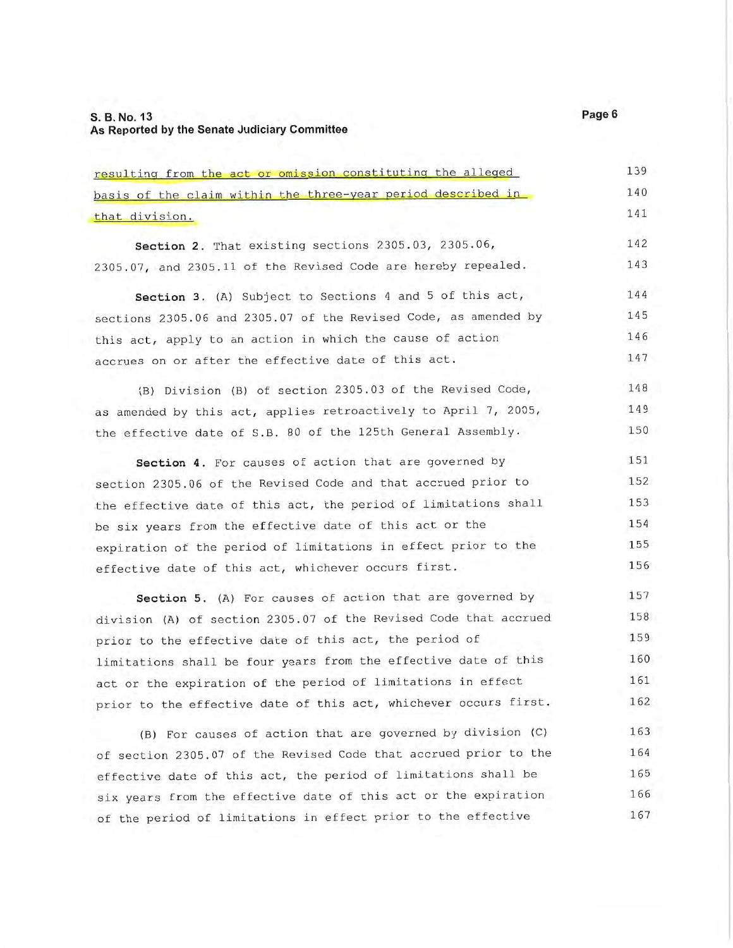resulting from the act or omission constituting the alleged basis of the claim within the three-year period described in 140 141 that division. 142 Section 2. That existing sections 2305.03, 2305.06, 143 2305.07, and 2305.11 of the Revised Code are hereby repealed. 144 Section 3. (A) Subject to Sections 4 and 5 of this act, sections 2305.06 and 2305.07 of the Revised Code, as amended by 145 this act, apply to an action in which the cause of action 146 accrues on or after the effective date of this act. 147 148 (B) Division (B) of section 2305.03 of the Revised Code, as amended by this act, applies retroactively to April 7, 2005, 149 the effective date of S.B. 80 of the 125th General Assembly. 150 Section 4. For causes of action that are governed by 151 section 2305.06 of the Revised Code and that accrued prior to 152 153 the effective date of this act, the period of limitations shall be six years from the effective date of this act or the 154 expiration of the period of limitations in effect prior to the 155 156 effective date of this act, whichever occurs first. Section 5. (A) For causes of action that are governed by 157 division (A) of section 2305.07 of the Revised Code that accrued 158 159 prior to the effective date of this act, the period of limitations shall be four years from the effective date of this 160 act or the expiration of the period of limitations in effect 161 prior to the effective date of this act, whichever occurs first. 162 (B) For causes of action that are governed by division (C) 163

164 of section 2305.07 of the Revised Code that accrued prior to the effective date of this act, the period of limitations shall be 165 six years from the effective date of this act or the expiration 166 167 of the period of limitations in effect prior to the effective

Page 6

139